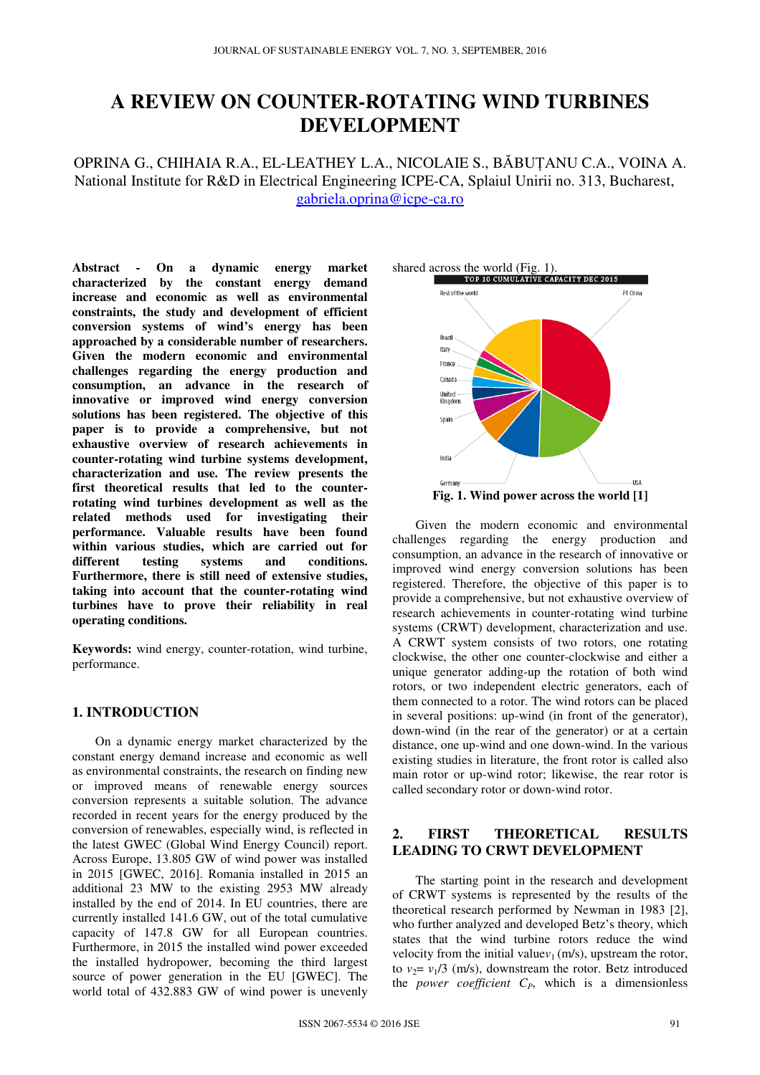# **A REVIEW ON COUNTER-ROTATING WIND TURBINES DEVELOPMENT**

OPRINA G., CHIHAIA R.A., EL-LEATHEY L.A., NICOLAIE S., BĂBUȚANU C.A., VOINA A. National Institute for R&D in Electrical Engineering ICPE-CA, Splaiul Unirii no. 313, Bucharest, gabriela.oprina@icpe-ca.ro

**Abstract - On a dynamic energy market characterized by the constant energy demand increase and economic as well as environmental constraints, the study and development of efficient conversion systems of wind's energy has been approached by a considerable number of researchers. Given the modern economic and environmental challenges regarding the energy production and consumption, an advance in the research of innovative or improved wind energy conversion solutions has been registered. The objective of this paper is to provide a comprehensive, but not exhaustive overview of research achievements in counter-rotating wind turbine systems development, characterization and use. The review presents the first theoretical results that led to the counterrotating wind turbines development as well as the related methods used for investigating their performance. Valuable results have been found within various studies, which are carried out for different testing systems and conditions. Furthermore, there is still need of extensive studies, taking into account that the counter-rotating wind turbines have to prove their reliability in real operating conditions.** 

**Keywords:** wind energy, counter-rotation, wind turbine, performance.

#### **1. INTRODUCTION**

On a dynamic energy market characterized by the constant energy demand increase and economic as well as environmental constraints, the research on finding new or improved means of renewable energy sources conversion represents a suitable solution. The advance recorded in recent years for the energy produced by the conversion of renewables, especially wind, is reflected in the latest GWEC (Global Wind Energy Council) report. Across Europe, 13.805 GW of wind power was installed in 2015 [GWEC, 2016]. Romania installed in 2015 an additional 23 MW to the existing 2953 MW already installed by the end of 2014. In EU countries, there are currently installed 141.6 GW, out of the total cumulative capacity of 147.8 GW for all European countries. Furthermore, in 2015 the installed wind power exceeded the installed hydropower, becoming the third largest source of power generation in the EU [GWEC]. The world total of 432.883 GW of wind power is unevenly



Given the modern economic and environmental challenges regarding the energy production and consumption, an advance in the research of innovative or improved wind energy conversion solutions has been registered. Therefore, the objective of this paper is to provide a comprehensive, but not exhaustive overview of research achievements in counter-rotating wind turbine systems (CRWT) development, characterization and use. A CRWT system consists of two rotors, one rotating clockwise, the other one counter-clockwise and either a unique generator adding-up the rotation of both wind rotors, or two independent electric generators, each of them connected to a rotor. The wind rotors can be placed in several positions: up-wind (in front of the generator), down-wind (in the rear of the generator) or at a certain distance, one up-wind and one down-wind. In the various existing studies in literature, the front rotor is called also main rotor or up-wind rotor; likewise, the rear rotor is called secondary rotor or down-wind rotor.

## **2. FIRST THEORETICAL RESULTS LEADING TO CRWT DEVELOPMENT**

The starting point in the research and development of CRWT systems is represented by the results of the theoretical research performed by Newman in 1983 [2], who further analyzed and developed Betz's theory, which states that the wind turbine rotors reduce the wind velocity from the initial value $v_1$  (m/s), upstream the rotor, to  $v_2 = v_1/3$  (m/s), downstream the rotor. Betz introduced the *power coefficient*  $C_P$ , which is a dimensionless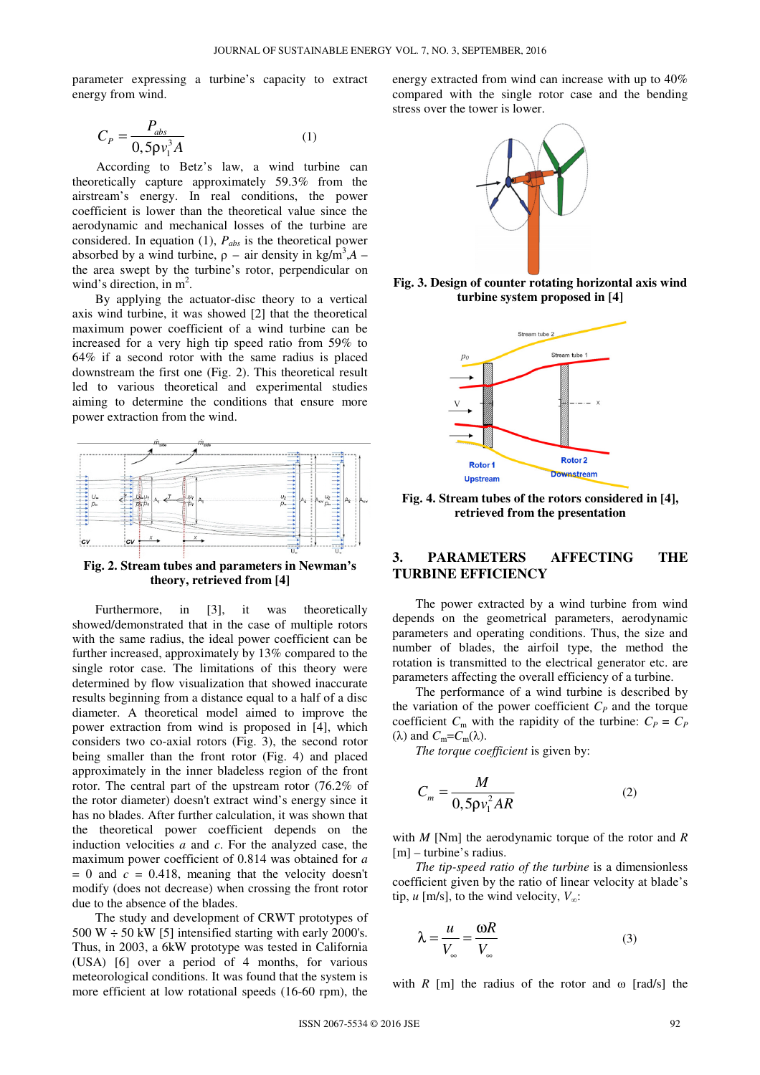parameter expressing a turbine's capacity to extract energy from wind.

$$
C_P = \frac{P_{\text{abs}}}{0.5 \rho v_1^3 A} \tag{1}
$$

According to Betz's law, a wind turbine can theoretically capture approximately 59.3% from the airstream's energy. In real conditions, the power coefficient is lower than the theoretical value since the aerodynamic and mechanical losses of the turbine are considered. In equation (1), *Pabs* is the theoretical power absorbed by a wind turbine,  $\rho$  – air density in kg/m<sup>3</sup>,A – the area swept by the turbine's rotor, perpendicular on wind's direction, in  $m^2$ .

By applying the actuator-disc theory to a vertical axis wind turbine, it was showed [2] that the theoretical maximum power coefficient of a wind turbine can be increased for a very high tip speed ratio from 59% to 64% if a second rotor with the same radius is placed downstream the first one (Fig. 2). This theoretical result led to various theoretical and experimental studies aiming to determine the conditions that ensure more power extraction from the wind.



**Fig. 2. Stream tubes and parameters in Newman's theory, retrieved from [4]** 

Furthermore, in [3], it was theoretically showed/demonstrated that in the case of multiple rotors with the same radius, the ideal power coefficient can be further increased, approximately by 13% compared to the single rotor case. The limitations of this theory were determined by flow visualization that showed inaccurate results beginning from a distance equal to a half of a disc diameter. A theoretical model aimed to improve the power extraction from wind is proposed in [4], which considers two co-axial rotors (Fig. 3), the second rotor being smaller than the front rotor (Fig. 4) and placed approximately in the inner bladeless region of the front rotor. The central part of the upstream rotor (76.2% of the rotor diameter) doesn't extract wind's energy since it has no blades. After further calculation, it was shown that the theoretical power coefficient depends on the induction velocities *a* and *c*. For the analyzed case, the maximum power coefficient of 0.814 was obtained for *a*   $= 0$  and  $c = 0.418$ , meaning that the velocity doesn't modify (does not decrease) when crossing the front rotor due to the absence of the blades.

The study and development of CRWT prototypes of 500 W  $\div$  50 kW [5] intensified starting with early 2000's. Thus, in 2003, a 6kW prototype was tested in California (USA) [6] over a period of 4 months, for various meteorological conditions. It was found that the system is more efficient at low rotational speeds (16-60 rpm), the

energy extracted from wind can increase with up to 40% compared with the single rotor case and the bending stress over the tower is lower.



**Fig. 3. Design of counter rotating horizontal axis wind turbine system proposed in [4]** 



**Fig. 4. Stream tubes of the rotors considered in [4], retrieved from the presentation** 

#### **3. PARAMETERS AFFECTING THE TURBINE EFFICIENCY**

The power extracted by a wind turbine from wind depends on the geometrical parameters, aerodynamic parameters and operating conditions. Thus, the size and number of blades, the airfoil type, the method the rotation is transmitted to the electrical generator etc. are parameters affecting the overall efficiency of a turbine.

The performance of a wind turbine is described by the variation of the power coefficient  $C_P$  and the torque coefficient  $C_m$  with the rapidity of the turbine:  $C_P = C_P$ (λ) and  $C_m = C_m(\lambda)$ .

*The torque coefficient* is given by:

$$
C_m = \frac{M}{0.5 \rho v_1^2 AR} \tag{2}
$$

with *M* [Nm] the aerodynamic torque of the rotor and *R* [m] – turbine's radius.

*The tip-speed ratio of the turbine* is a dimensionless coefficient given by the ratio of linear velocity at blade's tip, *u* [m/s], to the wind velocity,  $V_{\infty}$ :

$$
\lambda = \frac{u}{V_{\infty}} = \frac{\omega R}{V_{\infty}}
$$
\n(3)

with  $R$  [m] the radius of the rotor and  $\omega$  [rad/s] the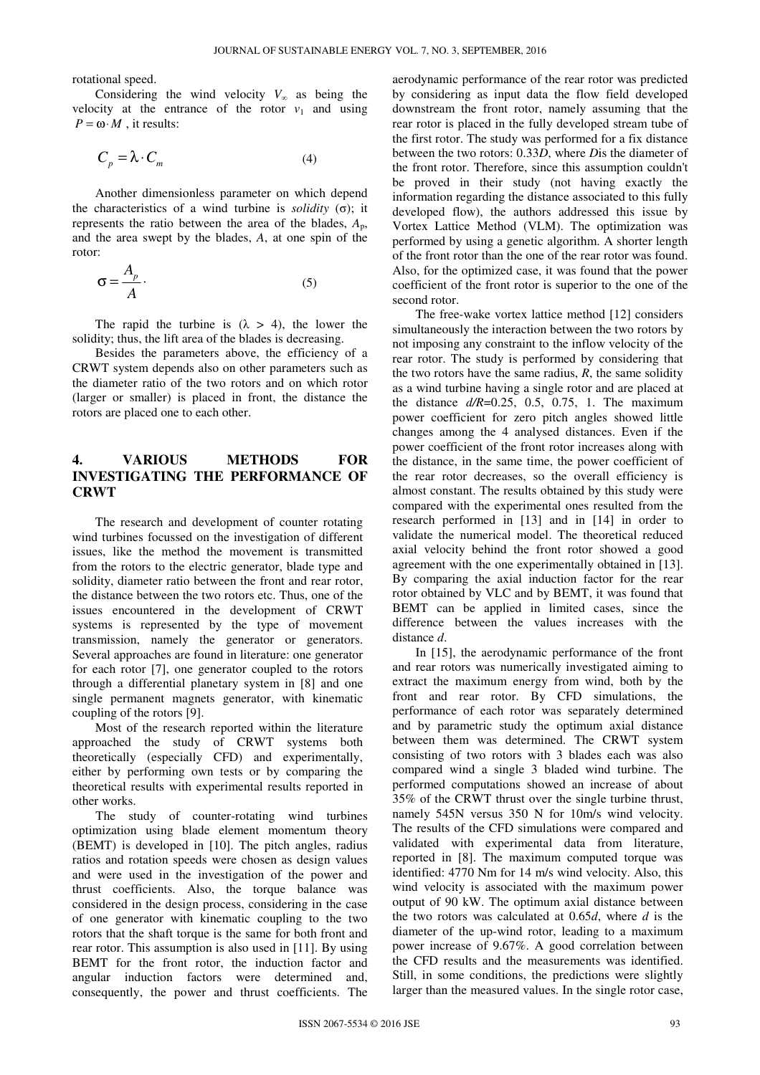rotational speed.

Considering the wind velocity  $V_\infty$  as being the velocity at the entrance of the rotor  $v_1$  and using  $P = \omega \cdot M$ , it results:

$$
C_p = \lambda \cdot C_m \tag{4}
$$

Another dimensionless parameter on which depend the characteristics of a wind turbine is *solidity* (σ); it represents the ratio between the area of the blades,  $A_p$ , and the area swept by the blades, *A*, at one spin of the rotor:

$$
\sigma = \frac{A_p}{A} \,. \tag{5}
$$

The rapid the turbine is  $(\lambda > 4)$ , the lower the solidity; thus, the lift area of the blades is decreasing.

Besides the parameters above, the efficiency of a CRWT system depends also on other parameters such as the diameter ratio of the two rotors and on which rotor (larger or smaller) is placed in front, the distance the rotors are placed one to each other.

## **4. VARIOUS METHODS FOR INVESTIGATING THE PERFORMANCE OF CRWT**

The research and development of counter rotating wind turbines focussed on the investigation of different issues, like the method the movement is transmitted from the rotors to the electric generator, blade type and solidity, diameter ratio between the front and rear rotor, the distance between the two rotors etc. Thus, one of the issues encountered in the development of CRWT systems is represented by the type of movement transmission, namely the generator or generators. Several approaches are found in literature: one generator for each rotor [7], one generator coupled to the rotors through a differential planetary system in [8] and one single permanent magnets generator, with kinematic coupling of the rotors [9].

Most of the research reported within the literature approached the study of CRWT systems both theoretically (especially CFD) and experimentally, either by performing own tests or by comparing the theoretical results with experimental results reported in other works.

The study of counter-rotating wind turbines optimization using blade element momentum theory (BEMT) is developed in [10]. The pitch angles, radius ratios and rotation speeds were chosen as design values and were used in the investigation of the power and thrust coefficients. Also, the torque balance was considered in the design process, considering in the case of one generator with kinematic coupling to the two rotors that the shaft torque is the same for both front and rear rotor. This assumption is also used in [11]. By using BEMT for the front rotor, the induction factor and angular induction factors were determined and, consequently, the power and thrust coefficients. The

aerodynamic performance of the rear rotor was predicted by considering as input data the flow field developed downstream the front rotor, namely assuming that the rear rotor is placed in the fully developed stream tube of the first rotor. The study was performed for a fix distance between the two rotors: 0.33*D*, where *D*is the diameter of the front rotor. Therefore, since this assumption couldn't be proved in their study (not having exactly the information regarding the distance associated to this fully developed flow), the authors addressed this issue by Vortex Lattice Method (VLM). The optimization was performed by using a genetic algorithm. A shorter length of the front rotor than the one of the rear rotor was found. Also, for the optimized case, it was found that the power coefficient of the front rotor is superior to the one of the second rotor.

The free-wake vortex lattice method [12] considers simultaneously the interaction between the two rotors by not imposing any constraint to the inflow velocity of the rear rotor. The study is performed by considering that the two rotors have the same radius, *R*, the same solidity as a wind turbine having a single rotor and are placed at the distance  $d/R = 0.25$ , 0.5, 0.75, 1. The maximum power coefficient for zero pitch angles showed little changes among the 4 analysed distances. Even if the power coefficient of the front rotor increases along with the distance, in the same time, the power coefficient of the rear rotor decreases, so the overall efficiency is almost constant. The results obtained by this study were compared with the experimental ones resulted from the research performed in [13] and in [14] in order to validate the numerical model. The theoretical reduced axial velocity behind the front rotor showed a good agreement with the one experimentally obtained in [13]. By comparing the axial induction factor for the rear rotor obtained by VLC and by BEMT, it was found that BEMT can be applied in limited cases, since the difference between the values increases with the distance *d*.

In [15], the aerodynamic performance of the front and rear rotors was numerically investigated aiming to extract the maximum energy from wind, both by the front and rear rotor. By CFD simulations, the performance of each rotor was separately determined and by parametric study the optimum axial distance between them was determined. The CRWT system consisting of two rotors with 3 blades each was also compared wind a single 3 bladed wind turbine. The performed computations showed an increase of about 35% of the CRWT thrust over the single turbine thrust, namely 545N versus 350 N for 10m/s wind velocity. The results of the CFD simulations were compared and validated with experimental data from literature, reported in [8]. The maximum computed torque was identified: 4770 Nm for 14 m/s wind velocity. Also, this wind velocity is associated with the maximum power output of 90 kW. The optimum axial distance between the two rotors was calculated at 0.65*d*, where *d* is the diameter of the up-wind rotor, leading to a maximum power increase of 9.67%. A good correlation between the CFD results and the measurements was identified. Still, in some conditions, the predictions were slightly larger than the measured values. In the single rotor case,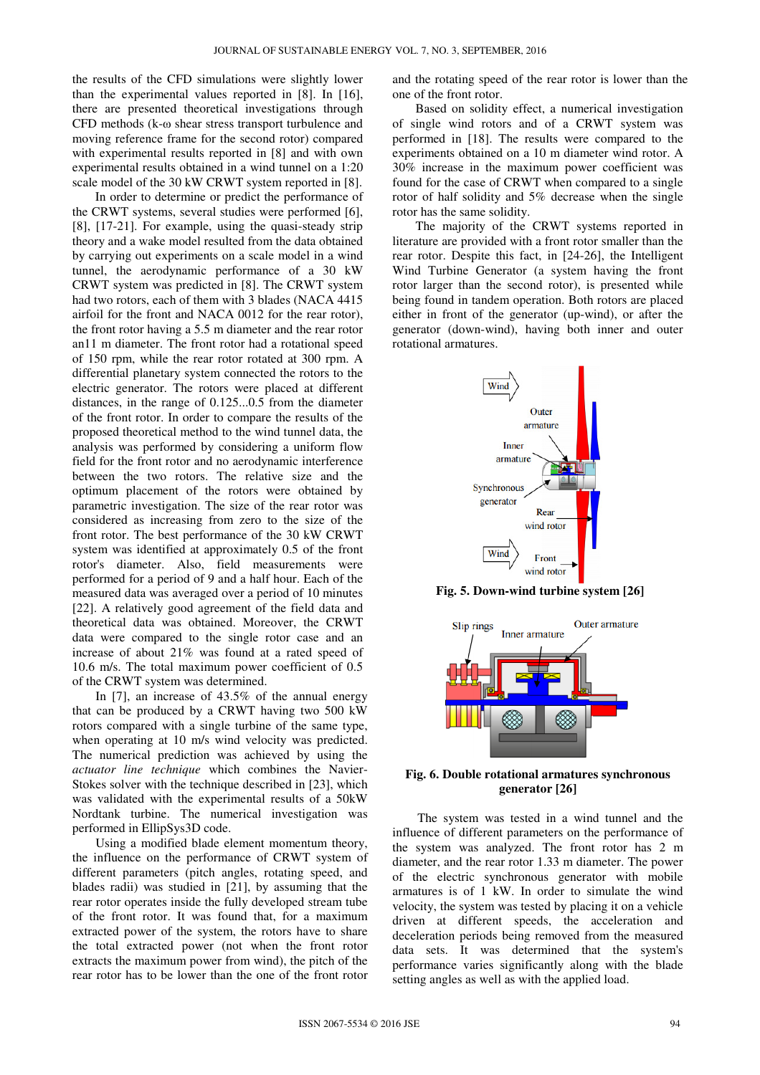the results of the CFD simulations were slightly lower than the experimental values reported in [8]. In [16], there are presented theoretical investigations through CFD methods (k-ω shear stress transport turbulence and moving reference frame for the second rotor) compared with experimental results reported in [8] and with own experimental results obtained in a wind tunnel on a 1:20 scale model of the 30 kW CRWT system reported in [8].

In order to determine or predict the performance of the CRWT systems, several studies were performed [6], [8], [17-21]. For example, using the quasi-steady strip theory and a wake model resulted from the data obtained by carrying out experiments on a scale model in a wind tunnel, the aerodynamic performance of a 30 kW CRWT system was predicted in [8]. The CRWT system had two rotors, each of them with 3 blades (NACA 4415 airfoil for the front and NACA 0012 for the rear rotor), the front rotor having a 5.5 m diameter and the rear rotor an11 m diameter. The front rotor had a rotational speed of 150 rpm, while the rear rotor rotated at 300 rpm. A differential planetary system connected the rotors to the electric generator. The rotors were placed at different distances, in the range of 0.125...0.5 from the diameter of the front rotor. In order to compare the results of the proposed theoretical method to the wind tunnel data, the analysis was performed by considering a uniform flow field for the front rotor and no aerodynamic interference between the two rotors. The relative size and the optimum placement of the rotors were obtained by parametric investigation. The size of the rear rotor was considered as increasing from zero to the size of the front rotor. The best performance of the 30 kW CRWT system was identified at approximately 0.5 of the front rotor's diameter. Also, field measurements were performed for a period of 9 and a half hour. Each of the measured data was averaged over a period of 10 minutes [22]. A relatively good agreement of the field data and theoretical data was obtained. Moreover, the CRWT data were compared to the single rotor case and an increase of about 21% was found at a rated speed of 10.6 m/s. The total maximum power coefficient of 0.5 of the CRWT system was determined.

In [7], an increase of 43.5% of the annual energy that can be produced by a CRWT having two 500 kW rotors compared with a single turbine of the same type, when operating at 10 m/s wind velocity was predicted. The numerical prediction was achieved by using the *actuator line technique* which combines the Navier-Stokes solver with the technique described in [23], which was validated with the experimental results of a 50kW Nordtank turbine. The numerical investigation was performed in EllipSys3D code.

Using a modified blade element momentum theory, the influence on the performance of CRWT system of different parameters (pitch angles, rotating speed, and blades radii) was studied in [21], by assuming that the rear rotor operates inside the fully developed stream tube of the front rotor. It was found that, for a maximum extracted power of the system, the rotors have to share the total extracted power (not when the front rotor extracts the maximum power from wind), the pitch of the rear rotor has to be lower than the one of the front rotor

and the rotating speed of the rear rotor is lower than the one of the front rotor.

Based on solidity effect, a numerical investigation of single wind rotors and of a CRWT system was performed in [18]. The results were compared to the experiments obtained on a 10 m diameter wind rotor. A 30% increase in the maximum power coefficient was found for the case of CRWT when compared to a single rotor of half solidity and 5% decrease when the single rotor has the same solidity.

The majority of the CRWT systems reported in literature are provided with a front rotor smaller than the rear rotor. Despite this fact, in [24-26], the Intelligent Wind Turbine Generator (a system having the front rotor larger than the second rotor), is presented while being found in tandem operation. Both rotors are placed either in front of the generator (up-wind), or after the generator (down-wind), having both inner and outer rotational armatures.



**Fig. 5. Down-wind turbine system [26]** 



**Fig. 6. Double rotational armatures synchronous generator [26]** 

The system was tested in a wind tunnel and the influence of different parameters on the performance of the system was analyzed. The front rotor has 2 m diameter, and the rear rotor 1.33 m diameter. The power of the electric synchronous generator with mobile armatures is of 1 kW. In order to simulate the wind velocity, the system was tested by placing it on a vehicle driven at different speeds, the acceleration and deceleration periods being removed from the measured data sets. It was determined that the system's performance varies significantly along with the blade setting angles as well as with the applied load.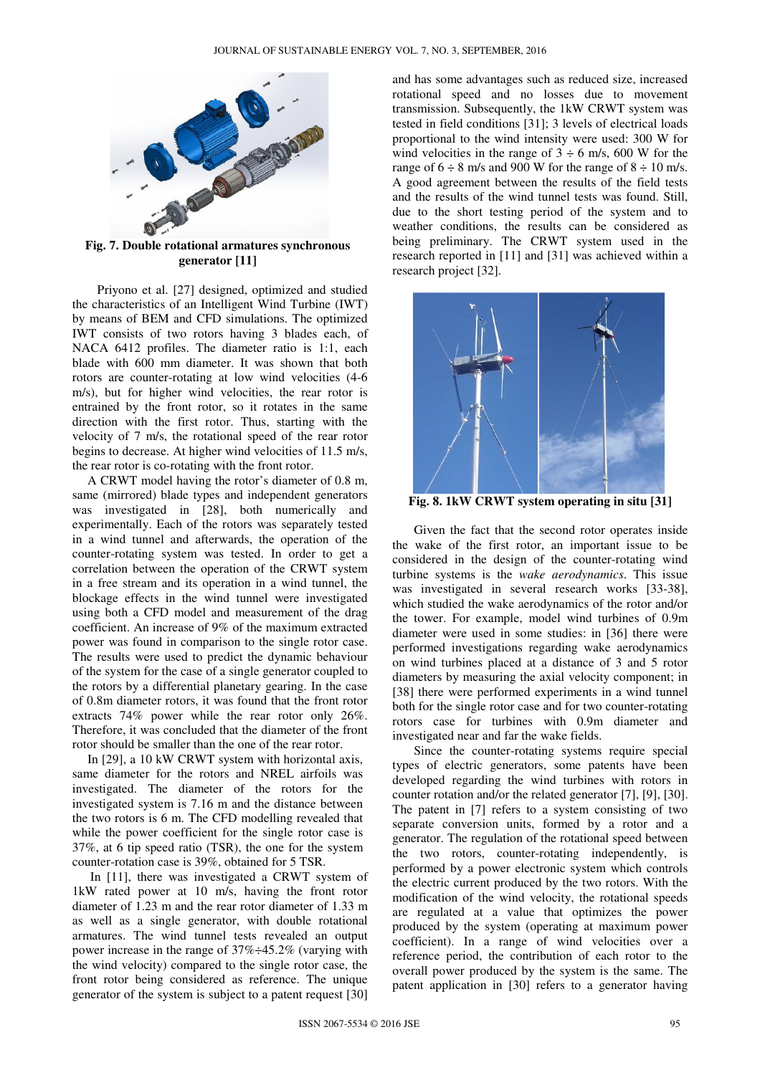

**Fig. 7. Double rotational armatures synchronous generator [11]** 

Priyono et al. [27] designed, optimized and studied the characteristics of an Intelligent Wind Turbine (IWT) by means of BEM and CFD simulations. The optimized IWT consists of two rotors having 3 blades each, of NACA 6412 profiles. The diameter ratio is 1:1, each blade with 600 mm diameter. It was shown that both rotors are counter-rotating at low wind velocities (4-6 m/s), but for higher wind velocities, the rear rotor is entrained by the front rotor, so it rotates in the same direction with the first rotor. Thus, starting with the velocity of 7 m/s, the rotational speed of the rear rotor begins to decrease. At higher wind velocities of 11.5 m/s, the rear rotor is co-rotating with the front rotor.

A CRWT model having the rotor's diameter of 0.8 m, same (mirrored) blade types and independent generators was investigated in [28], both numerically and experimentally. Each of the rotors was separately tested in a wind tunnel and afterwards, the operation of the counter-rotating system was tested. In order to get a correlation between the operation of the CRWT system in a free stream and its operation in a wind tunnel, the blockage effects in the wind tunnel were investigated using both a CFD model and measurement of the drag coefficient. An increase of 9% of the maximum extracted power was found in comparison to the single rotor case. The results were used to predict the dynamic behaviour of the system for the case of a single generator coupled to the rotors by a differential planetary gearing. In the case of 0.8m diameter rotors, it was found that the front rotor extracts 74% power while the rear rotor only 26%. Therefore, it was concluded that the diameter of the front rotor should be smaller than the one of the rear rotor.

In [29], a 10 kW CRWT system with horizontal axis, same diameter for the rotors and NREL airfoils was investigated. The diameter of the rotors for the investigated system is 7.16 m and the distance between the two rotors is 6 m. The CFD modelling revealed that while the power coefficient for the single rotor case is 37%, at 6 tip speed ratio (TSR), the one for the system counter-rotation case is 39%, obtained for 5 TSR.

In [11], there was investigated a CRWT system of 1kW rated power at 10 m/s, having the front rotor diameter of 1.23 m and the rear rotor diameter of 1.33 m as well as a single generator, with double rotational armatures. The wind tunnel tests revealed an output power increase in the range of 37%÷45.2% (varying with the wind velocity) compared to the single rotor case, the front rotor being considered as reference. The unique generator of the system is subject to a patent request [30]

and has some advantages such as reduced size, increased rotational speed and no losses due to movement transmission. Subsequently, the 1kW CRWT system was tested in field conditions [31]; 3 levels of electrical loads proportional to the wind intensity were used: 300 W for wind velocities in the range of  $3 \div 6$  m/s, 600 W for the range of  $6 \div 8$  m/s and 900 W for the range of  $8 \div 10$  m/s. A good agreement between the results of the field tests and the results of the wind tunnel tests was found. Still, due to the short testing period of the system and to weather conditions, the results can be considered as being preliminary. The CRWT system used in the research reported in [11] and [31] was achieved within a research project [32].



**Fig. 8. 1kW CRWT system operating in situ [31]**

Given the fact that the second rotor operates inside the wake of the first rotor, an important issue to be considered in the design of the counter-rotating wind turbine systems is the *wake aerodynamics*. This issue was investigated in several research works [33-38], which studied the wake aerodynamics of the rotor and/or the tower. For example, model wind turbines of 0.9m diameter were used in some studies: in [36] there were performed investigations regarding wake aerodynamics on wind turbines placed at a distance of 3 and 5 rotor diameters by measuring the axial velocity component; in [38] there were performed experiments in a wind tunnel both for the single rotor case and for two counter-rotating rotors case for turbines with 0.9m diameter and investigated near and far the wake fields.

Since the counter-rotating systems require special types of electric generators, some patents have been developed regarding the wind turbines with rotors in counter rotation and/or the related generator [7], [9], [30]. The patent in [7] refers to a system consisting of two separate conversion units, formed by a rotor and a generator. The regulation of the rotational speed between the two rotors, counter-rotating independently, is performed by a power electronic system which controls the electric current produced by the two rotors. With the modification of the wind velocity, the rotational speeds are regulated at a value that optimizes the power produced by the system (operating at maximum power coefficient). In a range of wind velocities over a reference period, the contribution of each rotor to the overall power produced by the system is the same. The patent application in [30] refers to a generator having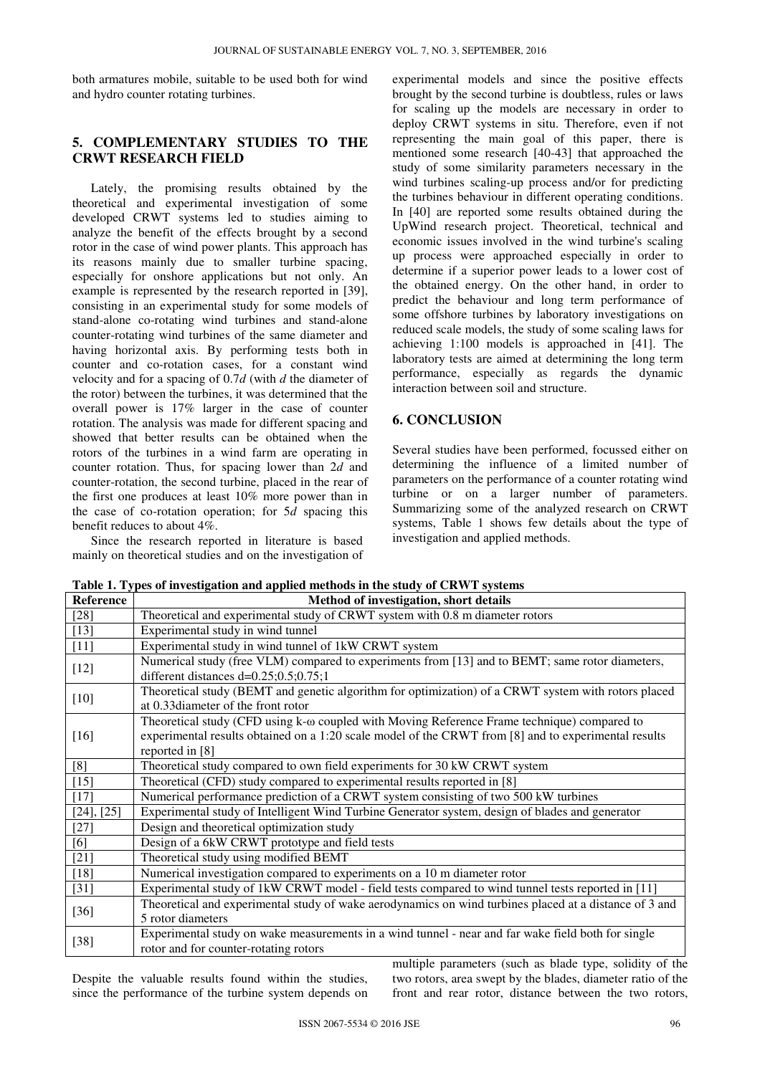both armatures mobile, suitable to be used both for wind and hydro counter rotating turbines.

# **5. COMPLEMENTARY STUDIES TO THE CRWT RESEARCH FIELD**

Lately, the promising results obtained by the theoretical and experimental investigation of some developed CRWT systems led to studies aiming to analyze the benefit of the effects brought by a second rotor in the case of wind power plants. This approach has its reasons mainly due to smaller turbine spacing, especially for onshore applications but not only. An example is represented by the research reported in [39], consisting in an experimental study for some models of stand-alone co-rotating wind turbines and stand-alone counter-rotating wind turbines of the same diameter and having horizontal axis. By performing tests both in counter and co-rotation cases, for a constant wind velocity and for a spacing of 0.7*d* (with *d* the diameter of the rotor) between the turbines, it was determined that the overall power is 17% larger in the case of counter rotation. The analysis was made for different spacing and showed that better results can be obtained when the rotors of the turbines in a wind farm are operating in counter rotation. Thus, for spacing lower than 2*d* and counter-rotation, the second turbine, placed in the rear of the first one produces at least 10% more power than in the case of co-rotation operation; for 5*d* spacing this benefit reduces to about 4%.

Since the research reported in literature is based mainly on theoretical studies and on the investigation of experimental models and since the positive effects brought by the second turbine is doubtless, rules or laws for scaling up the models are necessary in order to deploy CRWT systems in situ. Therefore, even if not representing the main goal of this paper, there is mentioned some research [40-43] that approached the study of some similarity parameters necessary in the wind turbines scaling-up process and/or for predicting the turbines behaviour in different operating conditions. In [40] are reported some results obtained during the UpWind research project. Theoretical, technical and economic issues involved in the wind turbine's scaling up process were approached especially in order to determine if a superior power leads to a lower cost of the obtained energy. On the other hand, in order to predict the behaviour and long term performance of some offshore turbines by laboratory investigations on reduced scale models, the study of some scaling laws for achieving 1:100 models is approached in [41]. The laboratory tests are aimed at determining the long term performance, especially as regards the dynamic interaction between soil and structure.

# **6. CONCLUSION**

Several studies have been performed, focussed either on determining the influence of a limited number of parameters on the performance of a counter rotating wind turbine or on a larger number of parameters. Summarizing some of the analyzed research on CRWT systems, Table 1 shows few details about the type of investigation and applied methods.

| Reference  | Method of investigation, short details                                                                                                                                                                                         |
|------------|--------------------------------------------------------------------------------------------------------------------------------------------------------------------------------------------------------------------------------|
| $[28]$     | Theoretical and experimental study of CRWT system with 0.8 m diameter rotors                                                                                                                                                   |
| $[13]$     | Experimental study in wind tunnel                                                                                                                                                                                              |
| $[11]$     | Experimental study in wind tunnel of 1kW CRWT system                                                                                                                                                                           |
| $[12]$     | Numerical study (free VLM) compared to experiments from [13] and to BEMT; same rotor diameters,<br>different distances $d=0.25; 0.5; 0.75; 1$                                                                                  |
| $[10]$     | Theoretical study (BEMT and genetic algorithm for optimization) of a CRWT system with rotors placed<br>at 0.33 diameter of the front rotor                                                                                     |
| $[16]$     | Theoretical study (CFD using k- $\omega$ coupled with Moving Reference Frame technique) compared to<br>experimental results obtained on a 1:20 scale model of the CRWT from [8] and to experimental results<br>reported in [8] |
| [8]        | Theoretical study compared to own field experiments for 30 kW CRWT system                                                                                                                                                      |
| $[15]$     | Theoretical (CFD) study compared to experimental results reported in [8]                                                                                                                                                       |
| $[17]$     | Numerical performance prediction of a CRWT system consisting of two 500 kW turbines                                                                                                                                            |
| [24], [25] | Experimental study of Intelligent Wind Turbine Generator system, design of blades and generator                                                                                                                                |
| $[27]$     | Design and theoretical optimization study                                                                                                                                                                                      |
| [6]        | Design of a 6kW CRWT prototype and field tests                                                                                                                                                                                 |
| $[21]$     | Theoretical study using modified BEMT                                                                                                                                                                                          |
| $[18]$     | Numerical investigation compared to experiments on a 10 m diameter rotor                                                                                                                                                       |
| $[31]$     | Experimental study of 1kW CRWT model - field tests compared to wind tunnel tests reported in [11]                                                                                                                              |
| $[36]$     | Theoretical and experimental study of wake aerodynamics on wind turbines placed at a distance of 3 and<br>5 rotor diameters                                                                                                    |
| $[38]$     | Experimental study on wake measurements in a wind tunnel - near and far wake field both for single<br>rotor and for counter-rotating rotors                                                                                    |

**Table 1. Types of investigation and applied methods in the study of CRWT systems** 

Despite the valuable results found within the studies, since the performance of the turbine system depends on multiple parameters (such as blade type, solidity of the two rotors, area swept by the blades, diameter ratio of the front and rear rotor, distance between the two rotors,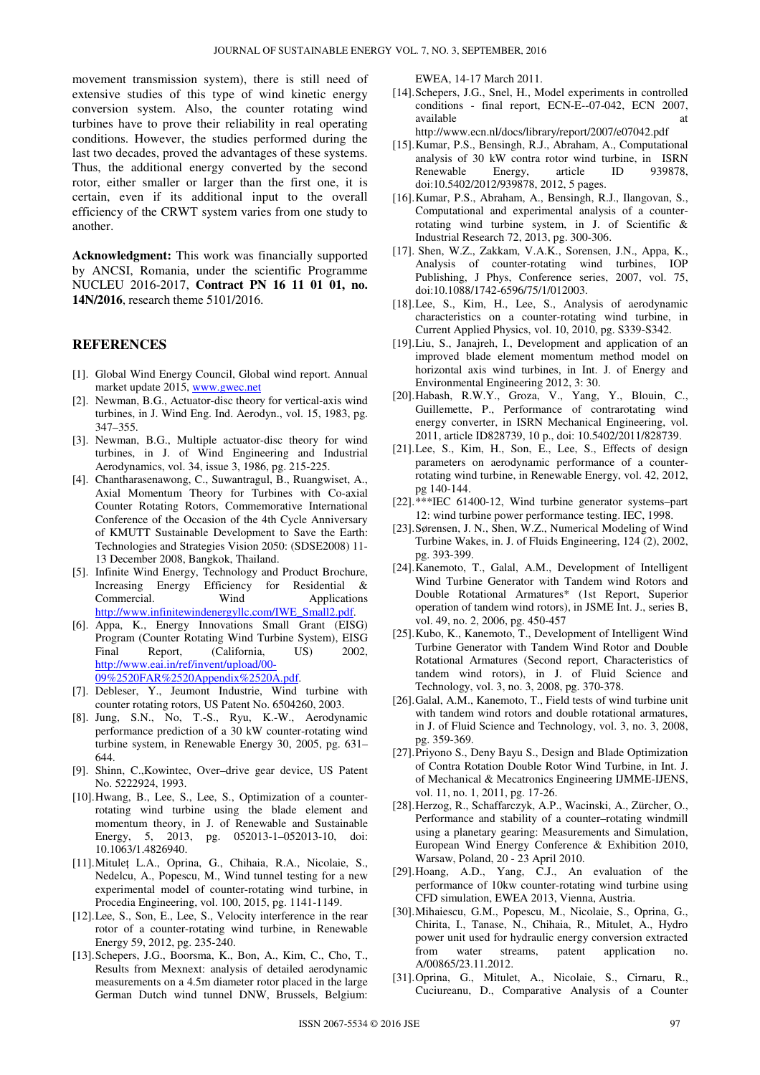movement transmission system), there is still need of extensive studies of this type of wind kinetic energy conversion system. Also, the counter rotating wind turbines have to prove their reliability in real operating conditions. However, the studies performed during the last two decades, proved the advantages of these systems. Thus, the additional energy converted by the second rotor, either smaller or larger than the first one, it is certain, even if its additional input to the overall efficiency of the CRWT system varies from one study to another.

**Acknowledgment:** This work was financially supported by ANCSI, Romania, under the scientific Programme NUCLEU 2016-2017, **Contract PN 16 11 01 01, no. 14N/2016**, research theme 5101/2016.

### **REFERENCES**

- [1]. Global Wind Energy Council, Global wind report. Annual market update 2015, www.gwec.net
- [2]. Newman, B.G., Actuator-disc theory for vertical-axis wind turbines, in J. Wind Eng. Ind. Aerodyn., vol. 15, 1983, pg. 347–355.
- [3]. Newman, B.G., Multiple actuator-disc theory for wind turbines, in J. of Wind Engineering and Industrial Aerodynamics, vol. 34, issue 3, 1986, pg. 215-225.
- [4]. Chantharasenawong, C., Suwantragul, B., Ruangwiset, A., Axial Momentum Theory for Turbines with Co-axial Counter Rotating Rotors, Commemorative International Conference of the Occasion of the 4th Cycle Anniversary of KMUTT Sustainable Development to Save the Earth: Technologies and Strategies Vision 2050: (SDSE2008) 11- 13 December 2008, Bangkok, Thailand.
- [5]. Infinite Wind Energy, Technology and Product Brochure, Increasing Energy Efficiency for Residential & Commercial. Wind Applications http://www.infinitewindenergyllc.com/IWE\_Small2.pdf.
- [6]. Appa, K., Energy Innovations Small Grant (EISG) Program (Counter Rotating Wind Turbine System), EISG Final Report, (California, US) 2002, http://www.eai.in/ref/invent/upload/00- 09%2520FAR%2520Appendix%2520A.pdf.
- [7]. Debleser, Y., Jeumont Industrie, Wind turbine with counter rotating rotors, US Patent No. 6504260, 2003.
- [8]. Jung, S.N., No, T.-S., Ryu, K.-W., Aerodynamic performance prediction of a 30 kW counter-rotating wind turbine system, in Renewable Energy 30, 2005, pg. 631– 644.
- [9]. Shinn, C.,Kowintec, Over–drive gear device, US Patent No. 5222924, 1993.
- [10].Hwang, B., Lee, S., Lee, S., Optimization of a counterrotating wind turbine using the blade element and momentum theory, in J. of Renewable and Sustainable Energy, 5, 2013, pg. 052013-1–052013-10, doi: 10.1063/1.4826940.
- [11].Mituleț L.A., Oprina, G., Chihaia, R.A., Nicolaie, S., Nedelcu, A., Popescu, M., Wind tunnel testing for a new experimental model of counter-rotating wind turbine, in Procedia Engineering, vol. 100, 2015, pg. 1141-1149.
- [12].Lee, S., Son, E., Lee, S., Velocity interference in the rear rotor of a counter-rotating wind turbine, in Renewable Energy 59, 2012, pg. 235-240.
- [13].Schepers, J.G., Boorsma, K., Bon, A., Kim, C., Cho, T., Results from Mexnext: analysis of detailed aerodynamic measurements on a 4.5m diameter rotor placed in the large German Dutch wind tunnel DNW, Brussels, Belgium:

EWEA, 14-17 March 2011.

- [14].Schepers, J.G., Snel, H., Model experiments in controlled conditions - final report, ECN-E--07-042, ECN 2007, available http://www.ecn.nl/docs/library/report/2007/e07042.pdf
- [15].Kumar, P.S., Bensingh, R.J., Abraham, A., Computational analysis of 30 kW contra rotor wind turbine, in ISRN Renewable Energy, article ID 939878, doi:10.5402/2012/939878, 2012, 5 pages.
- [16].Kumar, P.S., Abraham, A., Bensingh, R.J., Ilangovan, S., Computational and experimental analysis of a counterrotating wind turbine system, in J. of Scientific & Industrial Research 72, 2013, pg. 300-306.
- [17]. Shen, W.Z., Zakkam, V.A.K., Sorensen, J.N., Appa, K., Analysis of counter-rotating wind turbines, IOP Publishing, J Phys, Conference series, 2007, vol. 75, doi:10.1088/1742-6596/75/1/012003.
- [18].Lee, S., Kim, H., Lee, S., Analysis of aerodynamic characteristics on a counter-rotating wind turbine, in Current Applied Physics, vol. 10, 2010, pg. S339-S342.
- [19].Liu, S., Janajreh, I., Development and application of an improved blade element momentum method model on horizontal axis wind turbines, in Int. J. of Energy and Environmental Engineering 2012, 3: 30.
- [20].Habash, R.W.Y., Groza, V., Yang, Y., Blouin, C., Guillemette, P., Performance of contrarotating wind energy converter, in ISRN Mechanical Engineering, vol. 2011, article ID828739, 10 p., doi: 10.5402/2011/828739.
- [21].Lee, S., Kim, H., Son, E., Lee, S., Effects of design parameters on aerodynamic performance of a counterrotating wind turbine, in Renewable Energy, vol. 42, 2012, pg 140-144.
- [22].\*\*\*IEC 61400-12, Wind turbine generator systems–part 12: wind turbine power performance testing. IEC, 1998.
- [23].Sørensen, J. N., Shen, W.Z., Numerical Modeling of Wind Turbine Wakes, in. J. of Fluids Engineering, 124 (2), 2002, pg. 393-399.
- [24].Kanemoto, T., Galal, A.M., Development of Intelligent Wind Turbine Generator with Tandem wind Rotors and Double Rotational Armatures\* (1st Report, Superior operation of tandem wind rotors), in JSME Int. J., series B, vol. 49, no. 2, 2006, pg. 450-457
- [25].Kubo, K., Kanemoto, T., Development of Intelligent Wind Turbine Generator with Tandem Wind Rotor and Double Rotational Armatures (Second report, Characteristics of tandem wind rotors), in J. of Fluid Science and Technology, vol. 3, no. 3, 2008, pg. 370-378.
- [26].Galal, A.M., Kanemoto, T., Field tests of wind turbine unit with tandem wind rotors and double rotational armatures, in J. of Fluid Science and Technology, vol. 3, no. 3, 2008, pg. 359-369.
- [27].Priyono S., Deny Bayu S., Design and Blade Optimization of Contra Rotation Double Rotor Wind Turbine, in Int. J. of Mechanical & Mecatronics Engineering IJMME-IJENS, vol. 11, no. 1, 2011, pg. 17-26.
- [28].Herzog, R., Schaffarczyk, A.P., Wacinski, A., Zürcher, O., Performance and stability of a counter–rotating windmill using a planetary gearing: Measurements and Simulation, European Wind Energy Conference & Exhibition 2010, Warsaw, Poland, 20 - 23 April 2010.
- [29].Hoang, A.D., Yang, C.J., An evaluation of the performance of 10kw counter-rotating wind turbine using CFD simulation, EWEA 2013, Vienna, Austria.
- [30].Mihaiescu, G.M., Popescu, M., Nicolaie, S., Oprina, G., Chirita, I., Tanase, N., Chihaia, R., Mitulet, A., Hydro power unit used for hydraulic energy conversion extracted from water streams, patent application no. A/00865/23.11.2012.
- [31].Oprina, G., Mitulet, A., Nicolaie, S., Cirnaru, R., Cuciureanu, D., Comparative Analysis of a Counter